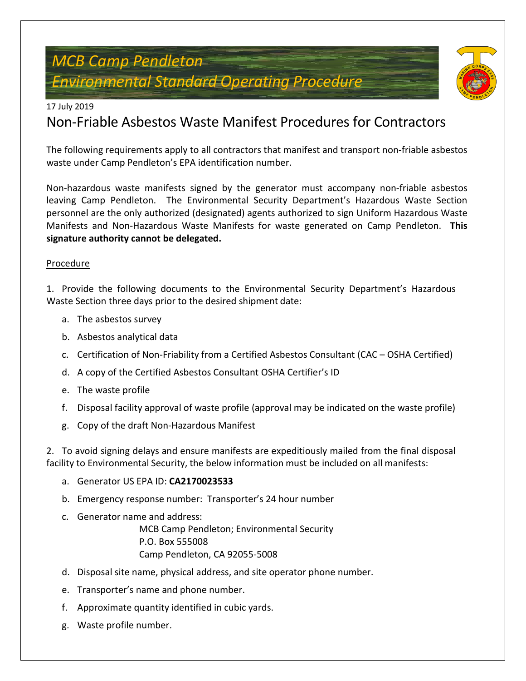# *MCB Camp Pendleton Environmental Standard Operating Procedure*



#### 17 July 2019

## Non-Friable Asbestos Waste Manifest Procedures for Contractors

The following requirements apply to all contractors that manifest and transport non-friable asbestos waste under Camp Pendleton's EPA identification number.

Non-hazardous waste manifests signed by the generator must accompany non-friable asbestos leaving Camp Pendleton. The Environmental Security Department's Hazardous Waste Section personnel are the only authorized (designated) agents authorized to sign Uniform Hazardous Waste Manifests and Non-Hazardous Waste Manifests for waste generated on Camp Pendleton. **This signature authority cannot be delegated.**

#### Procedure

1. Provide the following documents to the Environmental Security Department's Hazardous Waste Section three days prior to the desired shipment date:

- a. The asbestos survey
- b. Asbestos analytical data
- c. Certification of Non-Friability from a Certified Asbestos Consultant (CAC OSHA Certified)
- d. A copy of the Certified Asbestos Consultant OSHA Certifier's ID
- e. The waste profile
- f. Disposal facility approval of waste profile (approval may be indicated on the waste profile)
- g. Copy of the draft Non-Hazardous Manifest

2. To avoid signing delays and ensure manifests are expeditiously mailed from the final disposal facility to Environmental Security, the below information must be included on all manifests:

- a. Generator US EPA ID: **CA2170023533**
- b. Emergency response number: Transporter's 24 hour number
- c. Generator name and address: MCB Camp Pendleton; Environmental Security P.O. Box 555008 Camp Pendleton, CA 92055-5008
- d. Disposal site name, physical address, and site operator phone number.
- e. Transporter's name and phone number.
- f. Approximate quantity identified in cubic yards.
- g. Waste profile number.